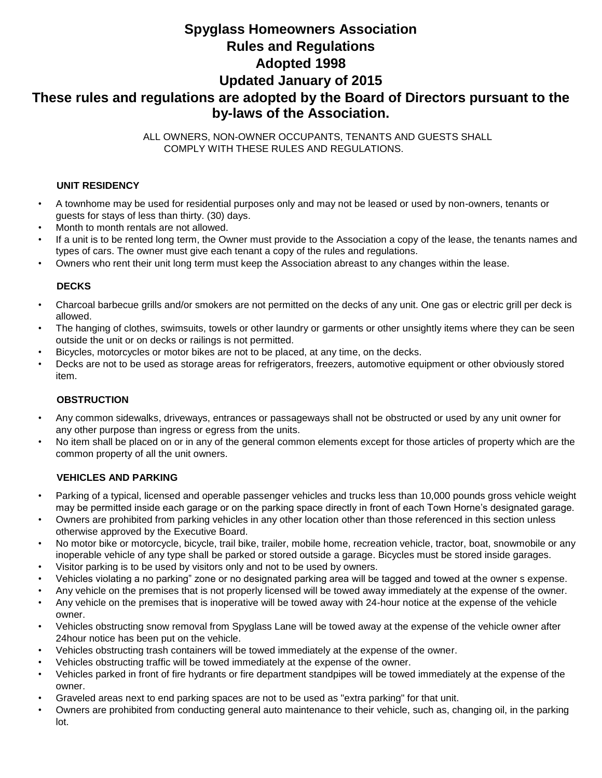# **Spyglass Homeowners Association Rules and Regulations Adopted 1998 Updated January of 2015 These rules and regulations are adopted by the Board of Directors pursuant to the by-laws of the Association.**

ALL OWNERS, NON-OWNER OCCUPANTS, TENANTS AND GUESTS SHALL COMPLY WITH THESE RULES AND REGULATIONS.

## **UNIT RESIDENCY**

- A townhome may be used for residential purposes only and may not be leased or used by non-owners, tenants or guests for stays of less than thirty. (30) days.
- Month to month rentals are not allowed.
- If a unit is to be rented long term, the Owner must provide to the Association a copy of the lease, the tenants names and types of cars. The owner must give each tenant a copy of the rules and regulations.
- Owners who rent their unit long term must keep the Association abreast to any changes within the lease.

## **DECKS**

- Charcoal barbecue grills and/or smokers are not permitted on the decks of any unit. One gas or electric grill per deck is allowed.
- The hanging of clothes, swimsuits, towels or other laundry or garments or other unsightly items where they can be seen outside the unit or on decks or railings is not permitted.
- Bicycles, motorcycles or motor bikes are not to be placed, at any time, on the decks.
- Decks are not to be used as storage areas for refrigerators, freezers, automotive equipment or other obviously stored item.

## **OBSTRUCTION**

- Any common sidewalks, driveways, entrances or passageways shall not be obstructed or used by any unit owner for any other purpose than ingress or egress from the units.
- No item shall be placed on or in any of the general common elements except for those articles of property which are the common property of all the unit owners.

## **VEHICLES AND PARKING**

- Parking of a typical, licensed and operable passenger vehicles and trucks less than 10,000 pounds gross vehicle weight may be permitted inside each garage or on the parking space directly in front of each Town Horne's designated garage.
- Owners are prohibited from parking vehicles in any other location other than those referenced in this section unless otherwise approved by the Executive Board.
- No motor bike or motorcycle, bicycle, trail bike, trailer, mobile home, recreation vehicle, tractor, boat, snowmobile or any inoperable vehicle of any type shall be parked or stored outside a garage. Bicycles must be stored inside garages.
- Visitor parking is to be used by visitors only and not to be used by owners.
- Vehicles violating a no parking" zone or no designated parking area will be tagged and towed at the owner s expense.
- Any vehicle on the premises that is not properly licensed will be towed away immediately at the expense of the owner.
- Any vehicle on the premises that is inoperative will be towed away with 24-hour notice at the expense of the vehicle owner.
- Vehicles obstructing snow removal from Spyglass Lane will be towed away at the expense of the vehicle owner after 24hour notice has been put on the vehicle.
- Vehicles obstructing trash containers will be towed immediately at the expense of the owner.
- Vehicles obstructing traffic will be towed immediately at the expense of the owner.
- Vehicles parked in front of fire hydrants or fire department standpipes will be towed immediately at the expense of the owner.
- Graveled areas next to end parking spaces are not to be used as "extra parking" for that unit.
- Owners are prohibited from conducting general auto maintenance to their vehicle, such as, changing oil, in the parking lot.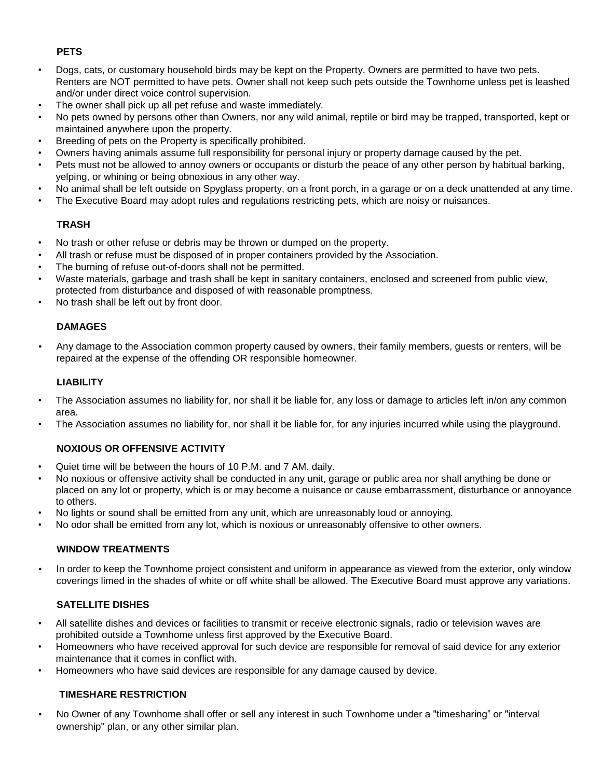# **PETS**

- Dogs, cats, or customary household birds may be kept on the Property. Owners are permitted to have two pets. Renters are NOT permitted to have pets. Owner shall not keep such pets outside the Townhome unless pet is leashed and/or under direct voice control supervision.
- The owner shall pick up all pet refuse and waste immediately.
- No pets owned by persons other than Owners, nor any wild animal, reptile or bird may be trapped, transported, kept or maintained anywhere upon the property.
- Breeding of pets on the Property is specifically prohibited.
- Owners having animals assume full responsibility for personal injury or property damage caused by the pet.
- Pets must not be allowed to annoy owners or occupants or disturb the peace of any other person by habitual barking, yelping, or whining or being obnoxious in any other way.
- No animal shall be left outside on Spyglass property, on a front porch, in a garage or on a deck unattended at any time.
- The Executive Board may adopt rules and regulations restricting pets, which are noisy or nuisances.

# **TRASH**

- No trash or other refuse or debris may be thrown or dumped on the property.
- All trash or refuse must be disposed of in proper containers provided by the Association.
- The burning of refuse out-of-doors shall not be permitted.
- Waste materials, garbage and trash shall be kept in sanitary containers, enclosed and screened from public view, protected from disturbance and disposed of with reasonable promptness.
- No trash shall be left out by front door.

## **DAMAGES**

• Any damage to the Association common property caused by owners, their family members, guests or renters, will be repaired at the expense of the offending OR responsible homeowner.

## **LIABILITY**

- The Association assumes no liability for, nor shall it be liable for, any loss or damage to articles left in/on any common area.
- The Association assumes no liability for, nor shall it be liable for, for any injuries incurred while using the playground.

# **NOXIOUS OR OFFENSIVE ACTIVITY**

- Quiet time will be between the hours of 10 P.M. and 7 AM. daily.
- No noxious or offensive activity shall be conducted in any unit, garage or public area nor shall anything be done or placed on any lot or property, which is or may become a nuisance or cause embarrassment, disturbance or annoyance to others.
- No lights or sound shall be emitted from any unit, which are unreasonably loud or annoying.
- No odor shall be emitted from any lot, which is noxious or unreasonably offensive to other owners.

## **WINDOW TREATMENTS**

In order to keep the Townhome project consistent and uniform in appearance as viewed from the exterior, only window coverings limed in the shades of white or off white shall be allowed. The Executive Board must approve any variations.

# **SATELLITE DISHES**

- All satellite dishes and devices or facilities to transmit or receive electronic signals, radio or television waves are prohibited outside a Townhome unless first approved by the Executive Board.
- Homeowners who have received approval for such device are responsible for removal of said device for any exterior maintenance that it comes in conflict with.
- Homeowners who have said devices are responsible for any damage caused by device.

## **TIMESHARE RESTRICTION**

• No Owner of any Townhome shall offer or sell any interest in such Townhome under a "timesharing" or "interval ownership" plan, or any other similar plan.